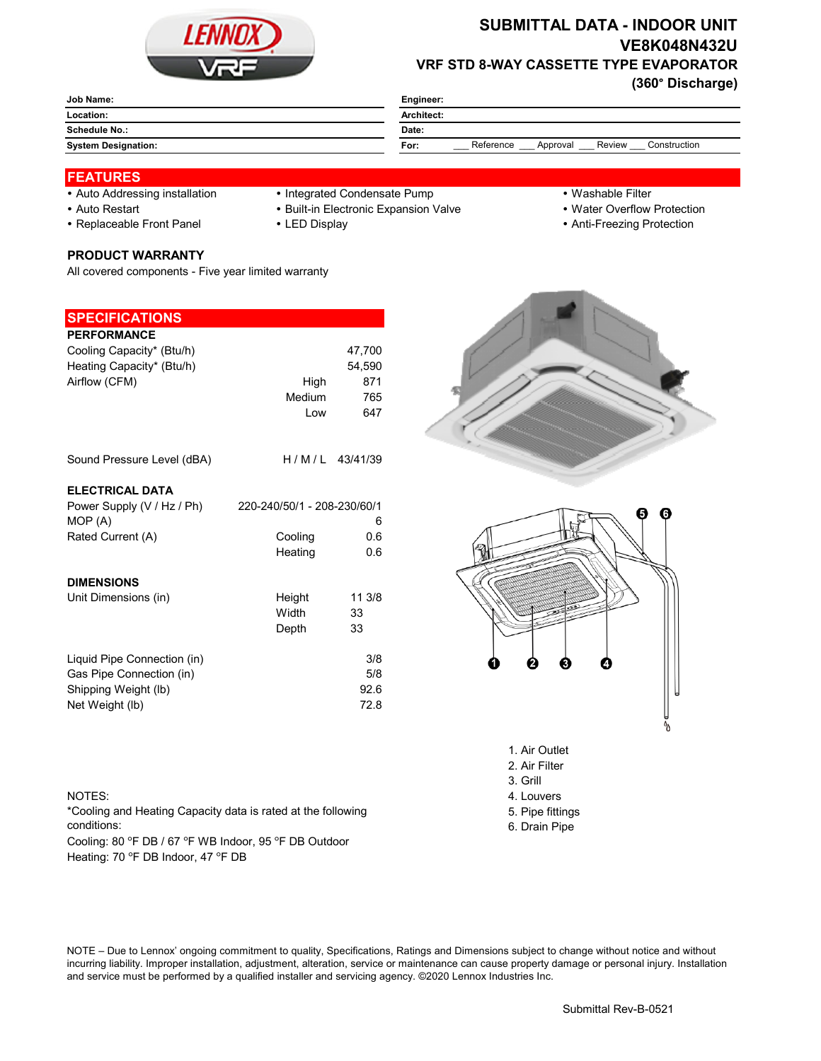

### **SUBMITTAL DATA - INDOOR UNIT VE8K048N432U VRF STD 8-WAY CASSETTE TYPE EVAPORATOR**

**(360° Discharge)**

| Job Name:                  | Engineer:                                               |  |  |
|----------------------------|---------------------------------------------------------|--|--|
| Location:                  | Architect:                                              |  |  |
| Schedule No.:              | Date:                                                   |  |  |
| <b>System Designation:</b> | Review<br>Reference<br>Construction<br>Approval<br>For: |  |  |
|                            |                                                         |  |  |

#### **FEATURES**

- 
- Auto Addressing installation Integrated Condensate Pump Washable Filter
- 
- 
- 
- 
- 
- Auto Restart **Built-in Electronic Expansion Valve Water Overflow Protection**
- Replaceable Front Panel LED Display Anti-Freezing Protection

# **PRODUCT WARRANTY**

All covered components - Five year limited warranty

### **SPECIFICATIONS**

| <b>PERFORMANCE</b>                    |                             |                  |
|---------------------------------------|-----------------------------|------------------|
| Cooling Capacity* (Btu/h)             |                             | 47,700           |
| Heating Capacity* (Btu/h)             |                             | 54,590           |
| Airflow (CFM)                         | High                        | 871              |
|                                       | Medium                      | 765              |
|                                       | Low                         | 647              |
| Sound Pressure Level (dBA)            |                             | $H/M/L$ 43/41/39 |
| <b>ELECTRICAL DATA</b>                |                             |                  |
| Power Supply (V / Hz / Ph)<br>MOP (A) | 220-240/50/1 - 208-230/60/1 | 6                |
| Rated Current (A)                     | Cooling                     | 0.6              |
|                                       | Heating                     | 0.6              |
| <b>DIMENSIONS</b>                     |                             |                  |
| Unit Dimensions (in)                  | Height                      | 11 3/8           |
|                                       | Width                       | 33               |
|                                       | Depth                       | 33               |
| Liquid Pipe Connection (in)           |                             | 3/8              |
| Gas Pipe Connection (in)              |                             | 5/8              |
| Shipping Weight (lb)                  |                             | 92.6             |
| Net Weight (lb)                       |                             | 72.8             |





- 2. Air Filter
- 3. Grill
- NOTES: 4. Louvers
	-
	- 5. Pipe fittings 6. Drain Pipe

## conditions:

Cooling: 80 °F DB / 67 °F WB Indoor, 95 °F DB Outdoor Heating: 70 °F DB Indoor, 47 °F DB

\*Cooling and Heating Capacity data is rated at the following

NOTE – Due to Lennox' ongoing commitment to quality, Specifications, Ratings and Dimensions subject to change without notice and without incurring liability. Improper installation, adjustment, alteration, service or maintenance can cause property damage or personal injury. Installation and service must be performed by a qualified installer and servicing agency. ©2020 Lennox Industries Inc.